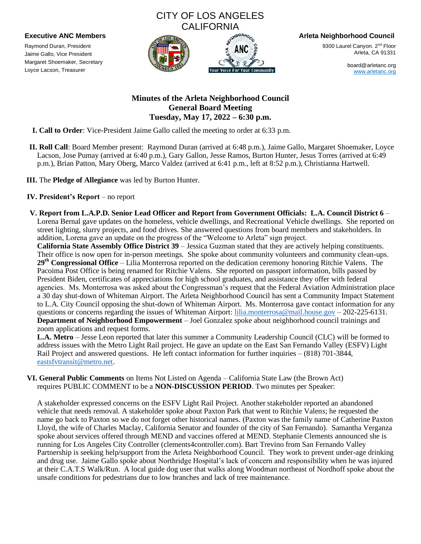# CITY OF LOS ANGELES **CALIFORNIA**



9300 Laurel Canyon. 2<sup>nd</sup> Floor Arleta, CA 91331

> board@arletanc.org [www.arletanc.org](http://www.arletanc.org/)

## **Minutes of the Arleta Neighborhood Council General Board Meeting Tuesday, May 17, 2022 – 6:30 p.m.**

**I. Call to Order**: Vice-President Jaime Gallo called the meeting to order at 6:33 p.m.

- **II. Roll Call**: Board Member present: Raymond Duran (arrived at 6:48 p.m.), Jaime Gallo, Margaret Shoemaker, Loyce Lacson, Jose Pumay (arrived at 6:40 p.m.), Gary Gallon, Jesse Ramos, Burton Hunter, Jesus Torres (arrived at 6:49 p.m.), Brian Patton, Mary Oberg, Marco Valdez (arrived at 6:41 p.m., left at 8:52 p.m.), Christianna Hartwell.
- **III.** The **Pledge of Allegiance** was led by Burton Hunter.

## **IV. President's Report** – no report

Raymond Duran, President Jaime Gallo, Vice President Margaret Shoemaker, Secretary Loyce Lacson, Treasurer

**V. Report from L.A.P.D. Senior Lead Officer and Report from Government Officials: L.A. Council District 6** – Lorena Bernal gave updates on the homeless, vehicle dwellings, and Recreational Vehicle dwellings. She reported on street lighting, slurry projects, and food drives. She answered questions from board members and stakeholders. In addition, Lorena gave an update on the progress of the "Welcome to Arleta" sign project.

**California State Assembly Office District 39** – Jessica Guzman stated that they are actively helping constituents. Their office is now open for in-person meetings. She spoke about community volunteers and community clean-ups. **29th Congressional Office** – Lilia Monterrosa reported on the dedication ceremony honoring Ritchie Valens. The Pacoima Post Office is being renamed for Ritchie Valens. She reported on passport information, bills passed by President Biden, certificates of appreciations for high school graduates, and assistance they offer with federal agencies. Ms. Monterrosa was asked about the Congressman's request that the Federal Aviation Administration place a 30 day shut-down of Whiteman Airport. The Arleta Neighborhood Council has sent a Community Impact Statement to L.A. City Council opposing the shut-down of Whiteman Airport. Ms. Monterrosa gave contact information for any questions or concerns regarding the issues of Whiteman Airport: [lilia.monterrosa@mail.house.gov](mailto:lilia.monterrosa@mail.house.gov) – 202-225-6131. **Department of Neighborhood Empowerment** – Joel Gonzalez spoke about neighborhood council trainings and zoom applications and request forms.

**L.A. Metro** – Jesse Leon reported that later this summer a Community Leadership Council (CLC) will be formed to address issues with the Metro Light Rail project. He gave an update on the East San Fernando Valley (ESFV) Light Rail Project and answered questions. He left contact information for further inquiries – (818) 701-3844, [eastsfvtransit@metro.net.](mailto:eastsfvtransit@metro.net)

**VI. General Public Comments** on Items Not Listed on Agenda – California State Law (the Brown Act) requires PUBLIC COMMENT to be a **NON-DISCUSSION PERIOD**. Two minutes per Speaker:

A stakeholder expressed concerns on the ESFV Light Rail Project. Another stakeholder reported an abandoned vehicle that needs removal. A stakeholder spoke about Paxton Park that went to Ritchie Valens; he requested the name go back to Paxton so we do not forget other historical names. (Paxton was the family name of Catherine Paxton Lloyd, the wife of Charles Maclay, California Senator and founder of the city of San Fernando). Samantha Verganza spoke about services offered through MEND and vaccines offered at MEND. Stephanie Clements announced she is running for Los Angeles City Controller (clements4controller.com). Bart Trevino from San Fernando Valley Partnership is seeking help/support from the Arleta Neighborhood Council. They work to prevent under-age drinking and drug use. Jaime Gallo spoke about Northridge Hospital's lack of concern and responsibility when he was injured at their C.A.T.S Walk/Run. A local guide dog user that walks along Woodman northeast of Nordhoff spoke about the unsafe conditions for pedestrians due to low branches and lack of tree maintenance.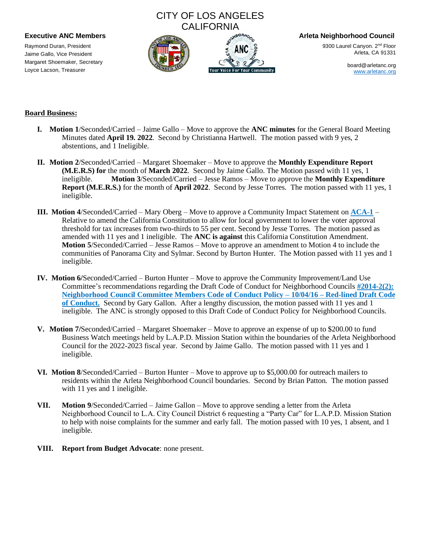Raymond Duran, President Jaime Gallo, Vice President Margaret Shoemaker, Secretary Loyce Lacson, Treasurer

# CITY OF LOS ANGELES CALIFORNIA



**Executive ANC Members Arleta Neighborhood Council**

9300 Laurel Canyon. 2<sup>nd</sup> Floor Arleta, CA 91331

> board@arletanc.org [www.arletanc.org](http://www.arletanc.org/)

### **Board Business:**

- **I. Motion 1**/Seconded/Carried Jaime Gallo Move to approve the **ANC minutes** for the General Board Meeting Minutes dated **April 19. 2022**. Second by Christianna Hartwell. The motion passed with 9 yes, 2 abstentions, and 1 Ineligible.
- **II. Motion 2**/Seconded/Carried Margaret Shoemaker Move to approve the **Monthly Expenditure Report (M.E.R.S) for** the month of **March 2022**. Second by Jaime Gallo. The Motion passed with 11 yes, 1 ineligible. **Motion 3**/Seconded/Carried – Jesse Ramos – Move to approve the **Monthly Expenditure Report (M.E.R.S.)** for the month of **April 2022**. Second by Jesse Torres. The motion passed with 11 yes, 1 ineligible.
- **III. Motion 4**/Seconded/Carried Mary Oberg Move to approve a Community Impact Statement on **ACA-1** Relative to amend the California Constitution to allow for local government to lower the voter approval threshold for tax increases from two-thirds to 55 per cent. Second by Jesse Torres. The motion passed as amended with 11 yes and 1 ineligible. The **ANC is against** this California Constitution Amendment. **Motion 5**/Seconded/Carried – Jesse Ramos – Move to approve an amendment to Motion 4 to include the communities of Panorama City and Sylmar. Second by Burton Hunter. The Motion passed with 11 yes and 1 ineligible.
- **IV. Motion 6/**Seconded/Carried Burton Hunter Move to approve the Community Improvement/Land Use Committee's recommendations regarding the Draft Code of Conduct for Neighborhood Councils **#2014-2(2): Neighborhood Council Committee Members Code of Conduct Policy – 10/04/16 – Red-lined Draft Code of Conduct.** Second by Gary Gallon. After a lengthy discussion, the motion passed with 11 yes and 1 ineligible. The ANC is strongly opposed to this Draft Code of Conduct Policy for Neighborhood Councils.
- **V. Motion 7/**Seconded/Carried Margaret Shoemaker Move to approve an expense of up to \$200.00 to fund Business Watch meetings held by L.A.P.D. Mission Station within the boundaries of the Arleta Neighborhood Council for the 2022-2023 fiscal year. Second by Jaime Gallo. The motion passed with 11 yes and 1 ineligible.
- **VI. Motion 8**/Seconded/Carried Burton Hunter Move to approve up to \$5,000.00 for outreach mailers to residents within the Arleta Neighborhood Council boundaries. Second by Brian Patton. The motion passed with 11 yes and 1 ineligible.
- **VII. Motion 9**/Seconded/Carried Jaime Gallon Move to approve sending a letter from the Arleta Neighborhood Council to L.A. City Council District 6 requesting a "Party Car" for L.A.P.D. Mission Station to help with noise complaints for the summer and early fall. The motion passed with 10 yes, 1 absent, and 1 ineligible.
- **VIII. Report from Budget Advocate**: none present.